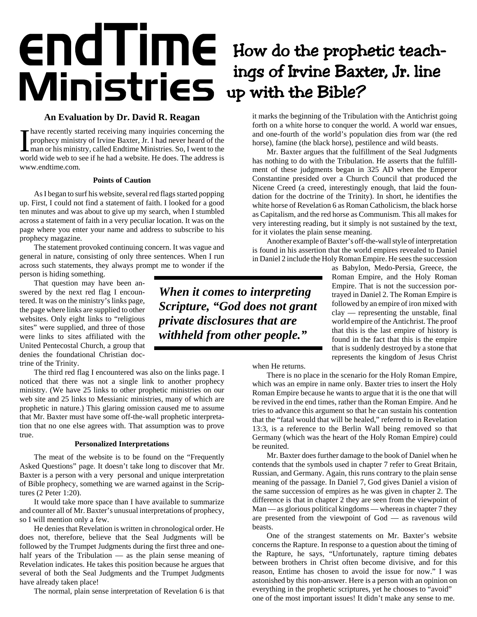## endTime How do the prophetic teachings of Irvine Baxter, Jr. line Winistrics ings of Irvine Baxt<br>
Winistries up with the Bible?

## **An Evaluation by Dr. David R. Reagan**

Thave recently started receiving many inquiries concerning the prophecy ministry of Irvine Baxter, Jr. I had never heard of the man or his ministry, called Endtime Ministries. So, I went to the world wide web to see if he have recently started receiving many inquiries concerning the prophecy ministry of Irvine Baxter, Jr. I had never heard of the man or his ministry, called Endtime Ministries. So, I went to the www.endtime.com.

## **Points of Caution**

As I began to surf his website, several red flags started popping up. First, I could not find a statement of faith. I looked for a good ten minutes and was about to give up my search, when I stumbled across a statement of faith in a very peculiar location. It was on the page where you enter your name and address to subscribe to his prophecy magazine.

The statement provoked continuing concern. It was vague and general in nature, consisting of only three sentences. When I run across such statements, they always prompt me to wonder if the person is hiding something.

That question may have been answered by the next red flag I encountered. It was on the ministry's links page, the page where links are supplied to other websites. Only eight links to "religious sites" were supplied, and three of those were links to sites affiliated with the United Pentecostal Church, a group that denies the foundational Christian doctrine of the Trinity.

The third red flag I encountered was also on the links page. I noticed that there was not a single link to another prophecy ministry. (We have 25 links to other prophetic ministries on our web site and 25 links to Messianic ministries, many of which are prophetic in nature.) This glaring omission caused me to assume that Mr. Baxter must have some off-the-wall prophetic interpretation that no one else agrees with. That assumption was to prove true.

## **Personalized Interpretations**

The meat of the website is to be found on the "Frequently Asked Questions" page. It doesn't take long to discover that Mr. Baxter is a person with a very personal and unique interpretation of Bible prophecy, something we are warned against in the Scriptures (2 Peter 1:20).

It would take more space than I have available to summarize and counter all of Mr. Baxter's unusual interpretations of prophecy, so I will mention only a few.

He denies that Revelation is written in chronological order. He does not, therefore, believe that the Seal Judgments will be followed by the Trumpet Judgments during the first three and onehalf years of the Tribulation — as the plain sense meaning of Revelation indicates. He takes this position because he argues that several of both the Seal Judgments and the Trumpet Judgments have already taken place!

The normal, plain sense interpretation of Revelation 6 is that

it marks the beginning of the Tribulation with the Antichrist going forth on a white horse to conquer the world. A world war ensues, and one-fourth of the world's population dies from war (the red horse), famine (the black horse), pestilence and wild beasts.

Mr. Baxter argues that the fulfillment of the Seal Judgments has nothing to do with the Tribulation. He asserts that the fulfillment of these judgments began in 325 AD when the Emperor Constantine presided over a Church Council that produced the Nicene Creed (a creed, interestingly enough, that laid the foundation for the doctrine of the Trinity). In short, he identifies the white horse of Revelation 6 as Roman Catholicism, the black horse as Capitalism, and the red horse as Communism. This all makes for very interesting reading, but it simply is not sustained by the text, for it violates the plain sense meaning.

Another example of Baxter's off-the-wall style of interpretation is found in his assertion that the world empires revealed to Daniel in Daniel 2 include the Holy Roman Empire. He sees the succession

*When it comes to interpreting Scripture, "God does not grant private disclosures that are withheld from other people."*

as Babylon, Medo-Persia, Greece, the Roman Empire, and the Holy Roman Empire. That is not the succession portrayed in Daniel 2. The Roman Empire is followed by an empire of iron mixed with clay — representing the unstable, final world empire of the Antichrist. The proof that this is the last empire of history is found in the fact that this is the empire that is suddenly destroyed by a stone that represents the kingdom of Jesus Christ

when He returns.

There is no place in the scenario for the Holy Roman Empire, which was an empire in name only. Baxter tries to insert the Holy Roman Empire because he wants to argue that it is the one that will be revived in the end times, rather than the Roman Empire. And he tries to advance this argument so that he can sustain his contention that the "fatal would that will be healed," referred to in Revelation 13:3, is a reference to the Berlin Wall being removed so that Germany (which was the heart of the Holy Roman Empire) could be reunited.

Mr. Baxter does further damage to the book of Daniel when he contends that the symbols used in chapter 7 refer to Great Britain, Russian, and Germany. Again, this runs contrary to the plain sense meaning of the passage. In Daniel 7, God gives Daniel a vision of the same succession of empires as he was given in chapter 2. The difference is that in chapter 2 they are seen from the viewpoint of Man — as glorious political kingdoms — whereas in chapter 7 they are presented from the viewpoint of God — as ravenous wild beasts.

One of the strangest statements on Mr. Baxter's website concerns the Rapture. In response to a question about the timing of the Rapture, he says, "Unfortunately, rapture timing debates between brothers in Christ often become divisive, and for this reason, Entime has chosen to avoid the issue for now." I was astonished by this non-answer. Here is a person with an opinion on everything in the prophetic scriptures, yet he chooses to "avoid" one of the most important issues! It didn't make any sense to me.